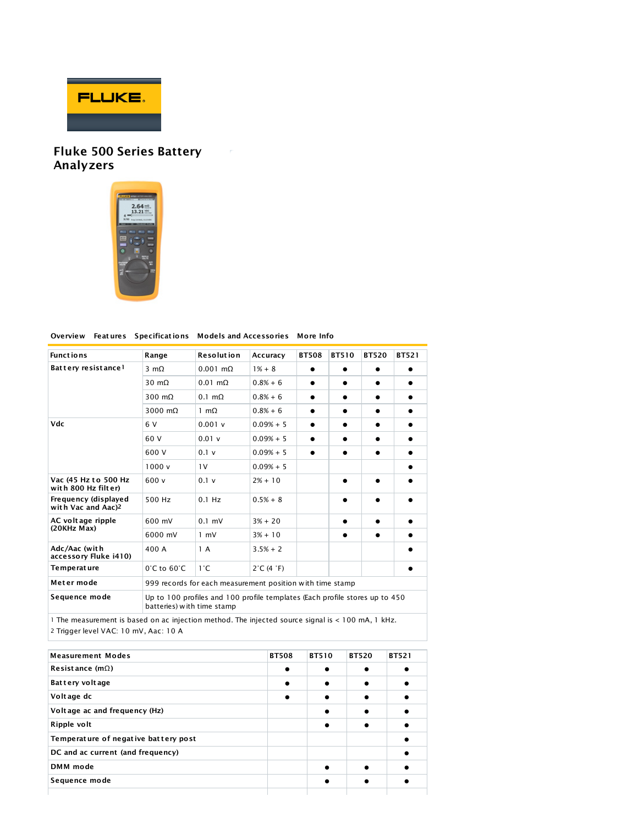

## Fluke 500 Series Battery Analyzers



## Overview Feat ures Specificat ions Models and Accessories More Info

 $\sim$   $r$ 

| <b>Functions</b>                                       | Range                                                                                                     | <b>Resolution</b>     | Accuracy                       | <b>BT508</b> | BT510 | <b>BT520</b> | <b>BT521</b> |
|--------------------------------------------------------|-----------------------------------------------------------------------------------------------------------|-----------------------|--------------------------------|--------------|-------|--------------|--------------|
| Battery resistance!                                    | $3 \text{ mA}$                                                                                            | $0.001$ m $\Omega$    | $1\% + 8$                      |              |       |              |              |
|                                                        | 30 m $\Omega$                                                                                             | $0.01$ m $\Omega$     | $0.8% + 6$                     |              |       |              |              |
|                                                        | 300 $m\Omega$                                                                                             | $0.1 \text{ m}\Omega$ | $0.8% + 6$                     | ●            |       |              |              |
|                                                        | 3000 $m\Omega$                                                                                            | 1 m $\Omega$          | $0.8% + 6$                     |              |       | $\bullet$    |              |
| Vdc                                                    | 6 V                                                                                                       | 0.001v                | $0.09% + 5$                    | $\bullet$    |       |              |              |
|                                                        | 60 V                                                                                                      | 0.01v                 | $0.09% + 5$                    | $\bullet$    |       | $\bullet$    |              |
|                                                        | 600 V                                                                                                     | 0.1v                  | $0.09% + 5$                    | $\bullet$    |       |              |              |
|                                                        | 1000v                                                                                                     | 1 <sup>V</sup>        | $0.09% + 5$                    |              |       |              |              |
| Vac (45 Hz to 500 Hz<br>with 800 Hz filter)            | 600 v                                                                                                     | 0.1 v                 | $2% + 10$                      |              |       |              |              |
| Frequency (displayed<br>with Vac and Aac) <sup>2</sup> | 500 Hz                                                                                                    | $0.1$ Hz              | $0.5% + 8$                     |              |       |              |              |
| AC voltage ripple<br>(20KHz Max)                       | 600 mV                                                                                                    | $0.1$ mV              | $3% + 20$                      |              |       | ●            |              |
|                                                        | 6000 mV                                                                                                   | $1 \text{ mV}$        | $3% + 10$                      |              |       | ●            |              |
| Adc/Aac (with<br>accessory Fluke i410)                 | 400 A                                                                                                     | 1 A                   | $3.5% + 2$                     |              |       |              |              |
| Temperat ure                                           | $0^\circ$ C to $60^\circ$ C                                                                               | $1^{\circ}$ C         | $2^{\circ}$ C (4 $^{\circ}$ F) |              |       |              |              |
| Meter mode                                             | 999 records for each measurement position with time stamp                                                 |                       |                                |              |       |              |              |
| Sequence mode                                          | Up to 100 profiles and 100 profile templates (Each profile stores up to 450<br>batteries) with time stamp |                       |                                |              |       |              |              |

1 The measurement is based on ac injection method. The injected source signal is < 100 mA, 1 kHz. 2 Trigger level VAC: 10 mV, Aac: 10 A

| <b>Measurement Modes</b>             | <b>BT508</b> | <b>BT510</b> | <b>BT520</b> | <b>BT521</b> |
|--------------------------------------|--------------|--------------|--------------|--------------|
| Resistance ( $m\Omega$ )             |              |              |              |              |
| Battery voltage                      |              |              |              |              |
| Voltage dc                           |              |              |              |              |
| Voltage ac and frequency (Hz)        |              |              |              |              |
| Ripple volt                          |              |              |              |              |
| Temperature of negative battery post |              |              |              |              |
| DC and ac current (and frequency)    |              |              |              |              |
| DMM mode                             |              |              |              |              |
| Sequence mode                        |              |              |              |              |
|                                      |              |              |              |              |